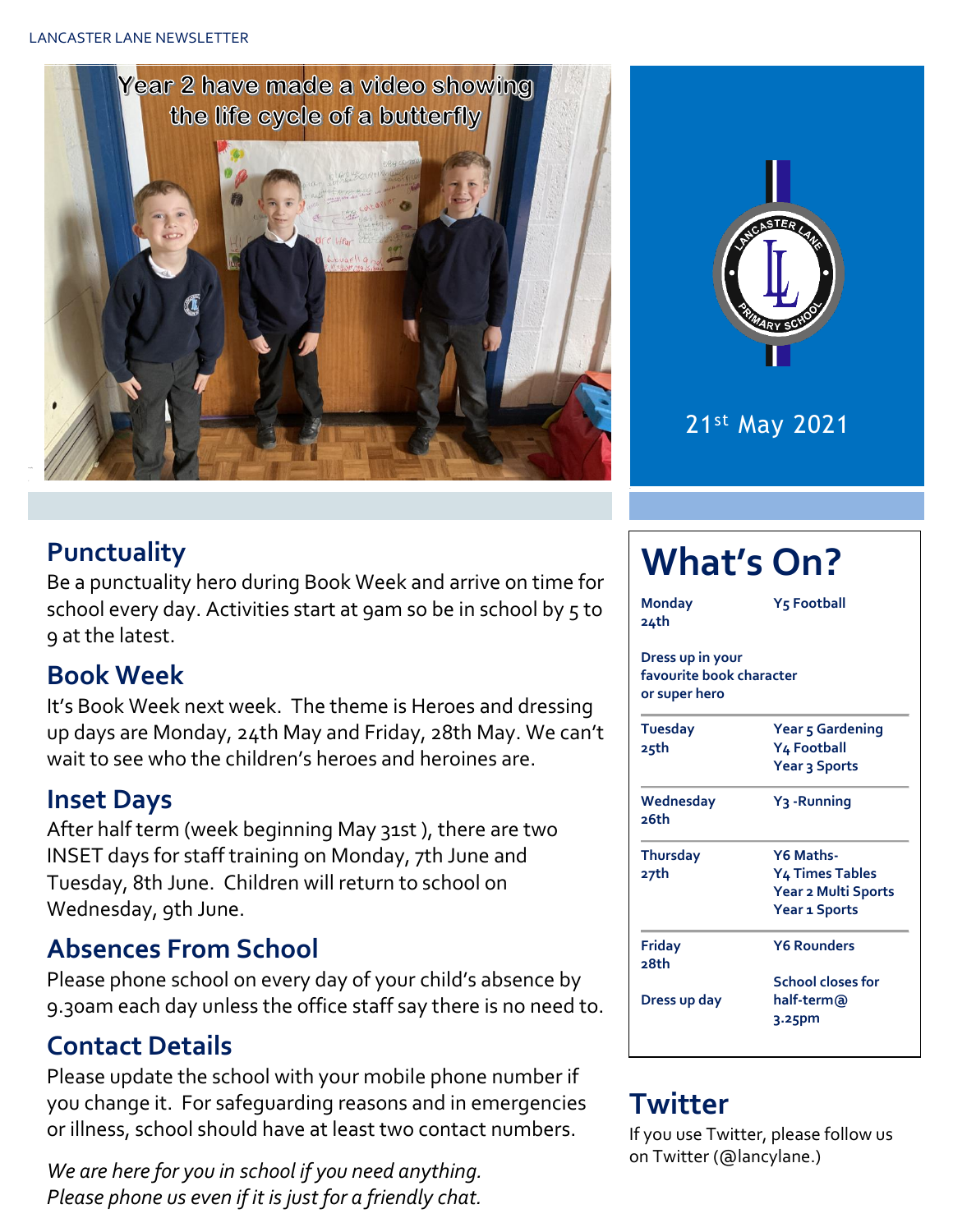



21st May 2021

#### **Punctuality**

Be a punctuality hero during Book Week and arrive on time for school every day. Activities start at 9am so be in school by 5 to 9 at the latest.

#### **Book Week**

It's Book Week next week. The theme is Heroes and dressing up days are Monday, 24th May and Friday, 28th May. We can't wait to see who the children's heroes and heroines are.

#### **Inset Days**

After half term (week beginning May 31st ), there are two INSET days for staff training on Monday, 7th June and Tuesday, 8th June. Children will return to school on Wednesday, 9th June.

#### **Absences From School**

Please phone school on every day of your child's absence by 9.30am each day unless the office staff say there is no need to.

#### **Contact Details**

Please update the school with your mobile phone number if you change it. For safeguarding reasons and in emergencies or illness, school should have at least two contact numbers.

*We are here for you in school if you need anything. Please phone us even if it is just for a friendly chat.* 

# **What's On?**

| Monday<br>24th                                                | Y5 Football             |  |  |  |  |
|---------------------------------------------------------------|-------------------------|--|--|--|--|
| Dress up in your<br>favourite book character<br>or super hero |                         |  |  |  |  |
| <b>Tuesday</b>                                                | Year 5 Gardening        |  |  |  |  |
| 25th                                                          | Y4 Football             |  |  |  |  |
|                                                               | Year 3 Sports           |  |  |  |  |
| Wednesday<br>26th                                             | Y <sub>3</sub> -Running |  |  |  |  |
| <b>Thursday</b>                                               | Y6 Maths-               |  |  |  |  |
| 27th                                                          | Y4 Times Tables         |  |  |  |  |
|                                                               | Year 2 Multi Sports     |  |  |  |  |
|                                                               | <b>Year 1 Sports</b>    |  |  |  |  |
| Friday<br>28th                                                | <b>Y6 Rounders</b>      |  |  |  |  |
|                                                               | School closes for       |  |  |  |  |
| Dress up day                                                  | half-term@              |  |  |  |  |
|                                                               | $3.25$ pm               |  |  |  |  |

### **Twitter**

If you use Twitter, please follow us on Twitter (@lancylane.)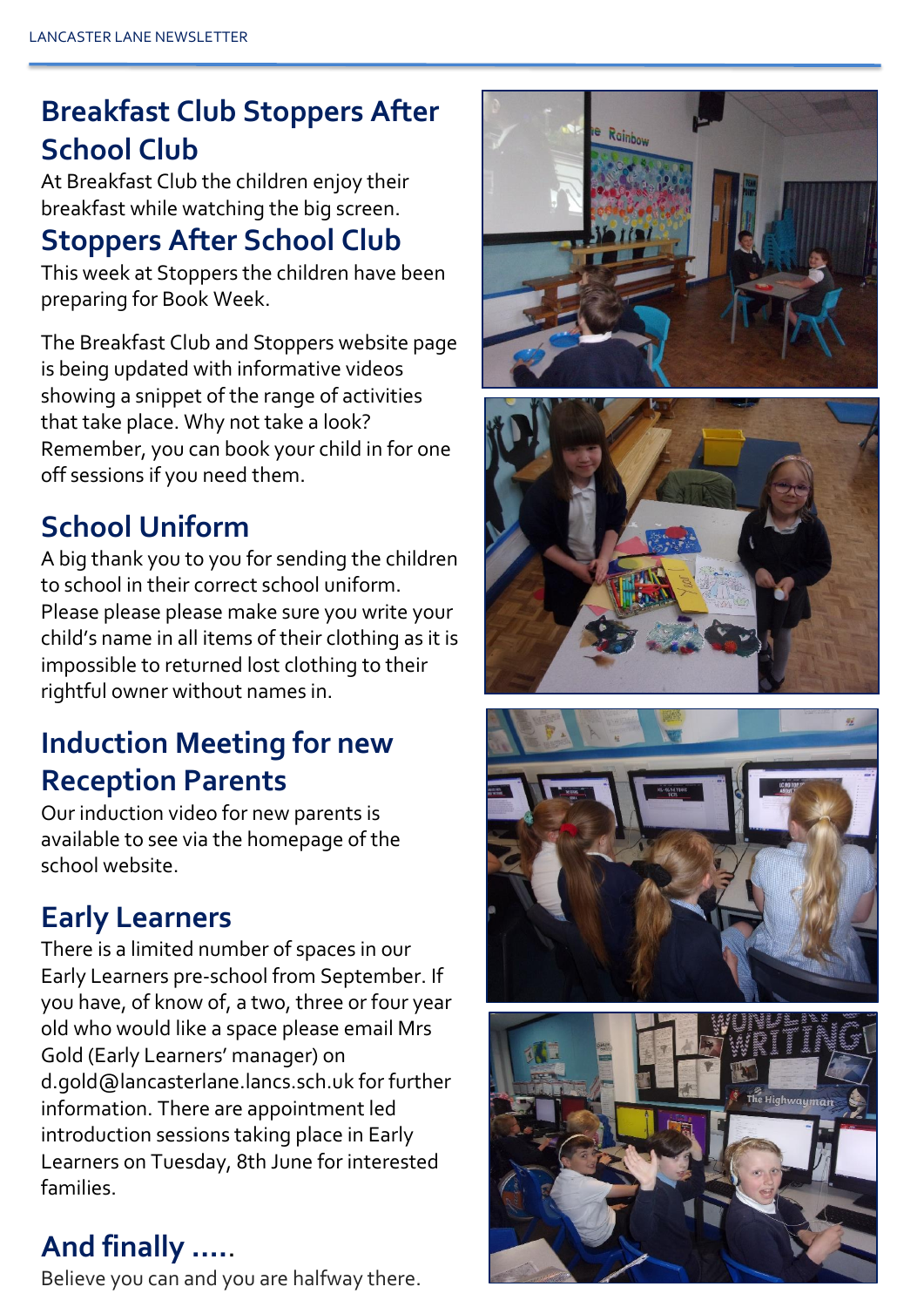## **Breakfast Club Stoppers After School Club**

At Breakfast Club the children enjoy their breakfast while watching the big screen.

### **Stoppers After School Club**

This week at Stoppers the children have been preparing for Book Week.

The Breakfast Club and Stoppers website page is being updated with informative videos showing a snippet of the range of activities that take place. Why not take a look? Remember, you can book your child in for one off sessions if you need them.

## **School Uniform**

A big thank you to you for sending the children to school in their correct school uniform. Please please please make sure you write your child's name in all items of their clothing as it is impossible to returned lost clothing to their rightful owner without names in.

## **Induction Meeting for new Reception Parents**

Our induction video for new parents is available to see via the homepage of the school website.

### **Early Learners**

There is a limited number of spaces in our Early Learners pre-school from September. If you have, of know of, a two, three or four year old who would like a space please email Mrs Gold (Early Learners' manager) on d.gold@lancasterlane.lancs.sch.uk for further information. There are appointment led introduction sessions taking place in Early Learners on Tuesday, 8th June for interested families.

### **And finally ….**.

Believe you can and you are halfway there.